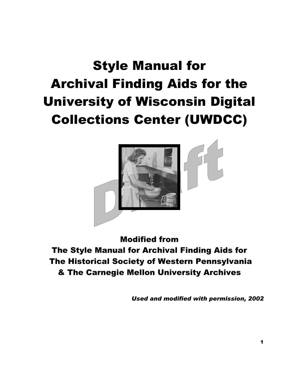# Style Manual for Archival Finding Aids for the University of Wisconsin Digital Collections Center (UWDCC)



Modified from The Style Manual for Archival Finding Aids for The Historical Society of Western Pennsylvania & The Carnegie Mellon University Archives

*Used and modified with permission, 2002*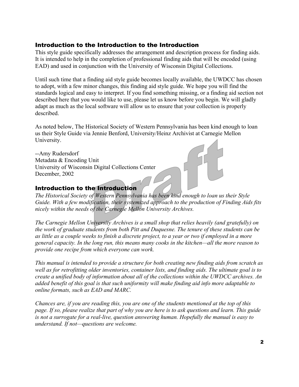#### Introduction to the Introduction to the Introduction

This style guide specifically addresses the arrangement and description process for finding aids. It is intended to help in the completion of professional finding aids that will be encoded (using EAD) and used in conjunction with the University of Wisconsin Digital Collections.

Until such time that a finding aid style guide becomes locally available, the UWDCC has chosen to adopt, with a few minor changes, this finding aid style guide. We hope you will find the standards logical and easy to interpret. If you find something missing, or a finding aid section not described here that you would like to use, please let us know before you begin. We will gladly adapt as much as the local software will allow us to ensure that your collection is properly described.

As noted below, The Historical Society of Western Pennsylvania has been kind enough to loan us their Style Guide via Jennie Benford, University/Heinz Archivist at Carnegie Mellon University.

--Amy Rudersdorf Metadata & Encoding Unit University of Wisconsin Digital Collections Center December, 2002

#### Introduction to the Introduction

*The Historical Society of Western Pennsylvania has been kind enough to loan us their Style Guide. With a few modification, their systemized approach to the production of Finding Aids fits nicely within the needs of the Carnegie Mellon University Archives.* 

*The Carnegie Mellon University Archives is a small shop that relies heavily (and gratefully) on the work of graduate students from both Pitt and Duquesne. The tenure of these students can be as little as a couple weeks to finish a discrete project, to a year or two if employed in a more general capacity. In the long run, this means many cooks in the kitchen—all the more reason to provide one recipe from which everyone can work.* 

*This manual is intended to provide a structure for both creating new finding aids from scratch as well as for retrofitting older inventories, container lists, and finding aids. The ultimate goal is to create a unified body of information about all of the collections within the UWDCC archives. An added benefit of this goal is that such uniformity will make finding aid info more adaptable to online formats, such as EAD and MARC.* 

*Chances are, if you are reading this, you are one of the students mentioned at the top of this page. If so, please realize that part of why you are here is to ask questions and learn. This guide is not a surrogate for a real-live, question answering human. Hopefully the manual is easy to understand. If not—questions are welcome.*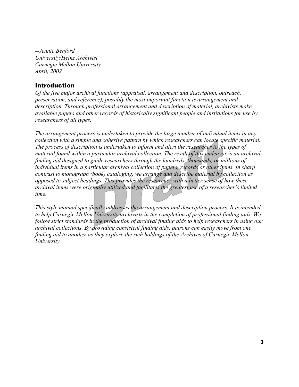*--Jennie Benford University/Heinz Archivist Carnegie Mellon University April, 2002* 

#### **Introduction**

*Of the five major archival functions (appraisal, arrangement and description, outreach, preservation, and reference), possibly the most important function is arrangement and description. Through professional arrangement and description of material, archivists make available papers and other records of historically significant people and institutions for use by researchers of all types.* 

*The arrangement process is undertaken to provide the large number of individual items in any collection with a simple and cohesive pattern by which researchers can locate specific material. The process of description is undertaken to inform and alert the researcher to the types of material found within a particular archival collection. The result of this endeavor is an archival finding aid designed to guide researchers through the hundreds, thousands, or millions of individual items in a particular archival collection of papers, records or other items. In sharp contrast to monograph (book) cataloging, we arrange and describe material by collection as opposed to subject headings. This provides the researcher with a better sense of how these archival items were originally utilized and facilitates the greatest use of a researcher's limited time.* 

*This style manual specifically addresses the arrangement and description process. It is intended to help Carnegie Mellon University archivists in the completion of professional finding aids. We follow strict standards in the production of archival finding aids to help researchers in using our archival collections. By providing consistent finding aids, patrons can easily move from one finding aid to another as they explore the rich holdings of the Archives of Carnegie Mellon University.*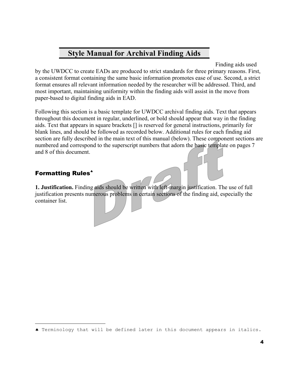# **Style Manual for Archival Finding Aids**

Finding aids used

by the UWDCC to create EADs are produced to strict standards for three primary reasons. First, a consistent format containing the same basic information promotes ease of use. Second, a strict format ensures all relevant information needed by the researcher will be addressed. Third, and most important, maintaining uniformity within the finding aids will assist in the move from paper-based to digital finding aids in EAD.

Following this section is a basic template for UWDCC archival finding aids. Text that appears throughout this document in regular, underlined, or bold should appear that way in the finding aids. Text that appears in square brackets [] is reserved for general instructions, primarily for blank lines, and should be followed as recorded below. Additional rules for each finding aid section are fully described in the main text of this manual (below). These component sections are numbered and correspond to the superscript numbers that adorn the basic template on pages 7 and 8 of this document.

### Formatting Rules[♠](#page-3-0)

i

**1. Justification.** Finding aids should be written with left-margin justification. The use of full justification presents numerous problems in certain sections of the finding aid, especially the container list.

<span id="page-3-0"></span><sup>♠</sup> Terminology that will be defined later in this document appears in italics.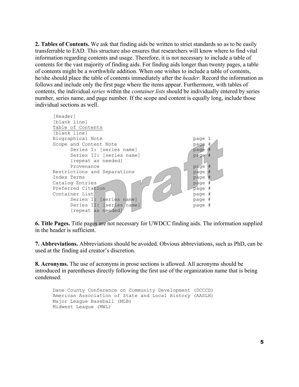**2. Tables of Contents.** We ask that finding aids be written to strict standards so as to be easily transferrable to EAD. This structure also ensures that researchers will know where to find vital information regarding contents and usage. Therefore, it is not necessary to include a table of contents for the vast majority of finding aids. For finding aids longer than twenty pages, a table of contents might be a worthwhile addition. When one wishes to include a table of contents, he/she should place the table of contents immediately after the *header*. Record the information as follows and include only the first page where the items appear. Furthermore, with tables of contents, the individual *series* within the *container lists* should be individually entered by series number, series name, and page number. If the scope and content is equally long, include those individual sections as well.



**6. Title Pages.** Title pages are not necessary for UWDCC finding aids. The information supplied in the header is sufficient.

**7. Abbreviations.** Abbreviations should be avoided. Obvious abbreviations, such as PhD, can be used at the finding aid creator's discretion.

**8. Acronyms.** The use of acronyms in prose sections is allowed. All acronyms should be introduced in parentheses directly following the first use of the organization name that is being condensed:

```
Dane County Conference on Community Development (DCCCD) 
American Association of State and Local History (AASLH) 
Major League Baseball (MLB) 
Midwest League (MWL)
```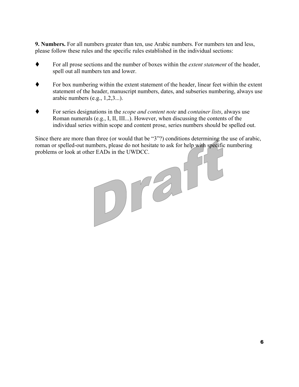**9. Numbers.** For all numbers greater than ten, use Arabic numbers. For numbers ten and less, please follow these rules and the specific rules established in the individual sections:

- For all prose sections and the number of boxes within the *extent statement* of the header, spell out all numbers ten and lower.
- For box numbering within the extent statement of the header, linear feet within the extent statement of the header, manuscript numbers, dates, and subseries numbering, always use arabic numbers  $(e.g., 1,2,3...)$ .
- For series designations in the *scope and content note* and *container lists*, always use Roman numerals (e.g., I, II, III...). However, when discussing the contents of the individual series within scope and content prose, series numbers should be spelled out.

Since there are more than three (or would that be "3"?) conditions determining the use of arabic, roman or spelled-out numbers, please do not hesitate to ask for help with specific numbering

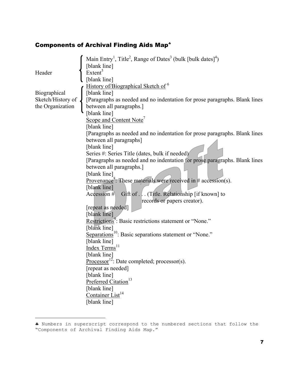# Components of Archival Finding Aids Map[♣](#page-6-0)

|                   | Main Entry <sup>1</sup> , Title <sup>2</sup> , Range of Dates <sup>3</sup> (bulk [bulk dates] <sup>4</sup> ) |
|-------------------|--------------------------------------------------------------------------------------------------------------|
|                   | [blank line]                                                                                                 |
| Header            | Extent <sup>5</sup>                                                                                          |
|                   | [blank line]                                                                                                 |
|                   | History of/Biographical Sketch of <sup>6</sup>                                                               |
| Biographical      | [blank line]                                                                                                 |
| Sketch/History of | [Paragraphs as needed and no indentation for prose paragraphs. Blank lines                                   |
| the Organization  | between all paragraphs.]                                                                                     |
|                   | [blank line]                                                                                                 |
|                   | Scope and Content Note <sup>7</sup>                                                                          |
|                   | [blank line]                                                                                                 |
|                   | [Paragraphs as needed and no indentation for prose paragraphs. Blank lines                                   |
|                   | between all paragraphs]<br>[blank line]                                                                      |
|                   | Series #: Series Title (dates, bulk if needed)                                                               |
|                   | [Paragraphs as needed and no indentation for prose paragraphs. Blank lines                                   |
|                   | between all paragraphs.                                                                                      |
|                   | [blank line]                                                                                                 |
|                   | Provenance <sup>8</sup> : These materials were received in # accession(s).                                   |
|                   | [blank line]                                                                                                 |
|                   | Gift of (Title. Relationship [if known] to<br>Accession $#$                                                  |
|                   | records or papers creator).                                                                                  |
|                   | [repeat as needed]                                                                                           |
|                   | [blank line]                                                                                                 |
|                   | Restrictions <sup>9</sup> : Basic restrictions statement or "None."                                          |
|                   | [blank line]                                                                                                 |
|                   | Separations <sup>10</sup> : Basic separations statement or "None."                                           |
|                   | [blank line]                                                                                                 |
|                   | Index Terms <sup>11</sup>                                                                                    |
|                   | [blank line]                                                                                                 |
|                   | Processor <sup>12</sup> : Date completed; processor(s).                                                      |
|                   | [repeat as needed]                                                                                           |
|                   | [blank line]<br>Preferred Citation <sup>13</sup>                                                             |
|                   | [blank line]                                                                                                 |
|                   | Container List <sup>14</sup>                                                                                 |
|                   | [blank line]                                                                                                 |
|                   |                                                                                                              |

<span id="page-6-0"></span><sup>♣</sup> Numbers in superscript correspond to the numbered sections that follow the "Components of Archival Finding Aids Map."

i<br>L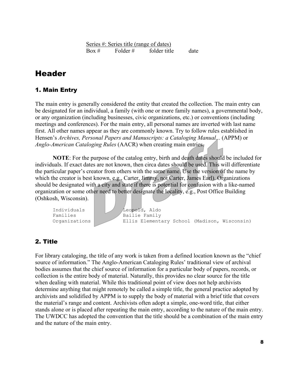Series #: Series title (range of dates)  $Box #$  Folder # folder title date

## Header

#### 1. Main Entry

The main entry is generally considered the entity that created the collection. The main entry can be designated for an individual, a family (with one or more family names), a governmental body, or any organization (including businesses, civic organizations, etc.) or conventions (including meetings and conferences). For the main entry, all personal names are inverted with last name first. All other names appear as they are commonly known. Try to follow rules established in Hensen's *Archives, Personal Papers and Manuscripts: a Cataloging Manual...* (APPM) or *Anglo-American Cataloging Rules* (AACR) when creating main entries.

**NOTE**: For the purpose of the catalog entry, birth and death dates should be included for individuals. If exact dates are not known, then circa dates should be used. This will differentiate the particular paper's creator from others with the same name. Use the version of the name by which the creator is best known, e.g., Carter, Jimmy, not Carter, James Earl). Organizations should be designated with a city and state if there is potential for confusion with a like-named organization or some other need to better designate the locality, e.g., Post Office Building (Oshkosh, Wisconsin).

```
Individuals | Leopold, Aldo
Families | Bailie Family
Organizations Ellis Elementary School (Madison, Wisconsin)
```
#### 2. Title

For library cataloging, the title of any work is taken from a defined location known as the "chief source of information." The Anglo-American Cataloging Rules' traditional view of archival bodies assumes that the chief source of information for a particular body of papers, records, or collection is the entire body of material. Naturally, this provides no clear source for the title when dealing with material. While this traditional point of view does not help archivists determine anything that might remotely be called a simple title, the general practice adopted by archivists and solidified by APPM is to supply the body of material with a brief title that covers the material's range and content. Archivists often adopt a simple, one-word title, that either stands alone or is placed after repeating the main entry, according to the nature of the main entry. The UWDCC has adopted the convention that the title should be a combination of the main entry and the nature of the main entry.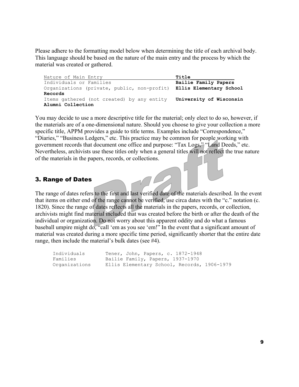Please adhere to the formatting model below when determining the title of each archival body. This language should be based on the nature of the main entry and the process by which the material was created or gathered.

Nature of Main Entry **Title** Individuals or Families **Bailie Family Papers**  Organizations (private, public, non-profit) **Ellis Elementary School Records** Items gathered (not created) by any entity **University of Wisconsin Alumni Collection**

You may decide to use a more descriptive title for the material; only elect to do so, however, if the materials are of a one-dimensional nature. Should you choose to give your collection a more specific title, APPM provides a guide to title terms. Examples include "Correspondence," "Diaries," "Business Ledgers," etc. This practice may be common for people working with government records that document one office and purpose: "Tax Logs," "Land Deeds," etc. Nevertheless, archivists use these titles only when a general titles will not reflect the true nature of the materials in the papers, records, or collections.

#### 3. Range of Dates

The range of dates refers to the first and last verified date of the materials described. In the event that items on either end of the range cannot be verified, use circa dates with the "c." notation (c. 1820). Since the range of dates reflects all the materials in the papers, records, or collection, archivists might find material included that was created before the birth or after the death of the individual or organization. Do not worry about this apparent oddity and do what a famous baseball umpire might do, "call 'em as you see 'em!" In the event that a significant amount of material was created during a more specific time period, significantly shorter that the entire date range, then include the material's bulk dates (see #4).

| Individuals   | Tener, John, Papers, c. 1872-1948           |
|---------------|---------------------------------------------|
| Families      | Bailie Family, Papers, 1937-1970            |
| Organizations | Ellis Elementary School, Records, 1906-1979 |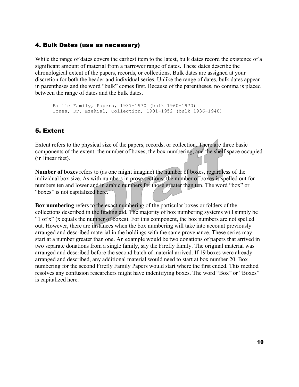#### 4. Bulk Dates (use as necessary)

While the range of dates covers the earliest item to the latest, bulk dates record the existence of a significant amount of material from a narrower range of dates. These dates describe the chronological extent of the papers, records, or collections. Bulk dates are assigned at your discretion for both the header and individual series. Unlike the range of dates, bulk dates appear in parentheses and the word "bulk" comes first. Because of the parentheses, no comma is placed between the range of dates and the bulk dates.

Bailie Family, Papers, 1937-1970 (bulk 1960-1970) Jones, Dr. Ezekial, Collection, 1901-1952 (bulk 1936-1940)

## 5. Extent

Extent refers to the physical size of the papers, records, or collection. There are three basic components of the extent: the number of boxes, the box numbering, and the shelf space occupied (in linear feet).

**Number of boxes** refers to (as one might imagine) the number of boxes, regardless of the individual box size. As with numbers in prose sections, the number of boxes is spelled out for numbers ten and lower and in arabic numbers for those greater than ten. The word "box" or "boxes" is not capitalized here.

**Box numbering** refers to the exact numbering of the particular boxes or folders of the collections described in the finding aid. The majority of box numbering systems will simply be "1 of x" (x equals the number of boxes). For this component, the box numbers are not spelled out. However, there are instances when the box numbering will take into account previously arranged and described material in the holdings with the same provenance. These series may start at a number greater than one. An example would be two donations of papers that arrived in two separate donations from a single family, say the Firefly family. The original material was arranged and described before the second batch of material arrived. If 19 boxes were already arranged and described, any additional material would need to start at box number 20. Box numbering for the second Firefly Family Papers would start where the first ended. This method resolves any confusion researchers might have indentifying boxes. The word "Box" or "Boxes" is capitalized here.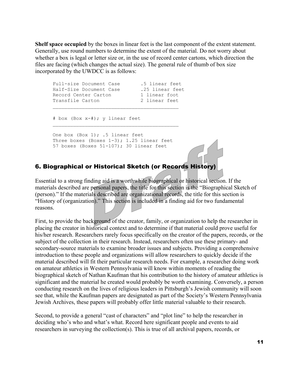**Shelf space occupied** by the boxes in linear feet is the last component of the extent statement. Generally, use round numbers to determine the extent of the material. Do not worry about whether a box is legal or letter size or, in the use of record center cartons, which direction the files are facing (which changes the actual size). The general rule of thumb of box size incorporated by the UWDCC is as follows:

| Full-size Document Case | .5 linear feet  |
|-------------------------|-----------------|
| Half-Size Document Case | .25 linear feet |
| Record Center Carton    | 1 linear foot   |
| Transfile Carton        | 2 linear feet   |
|                         |                 |

# box (Box x-#); y linear feet

One box (Box 1); .5 linear feet Three boxes (Boxes  $1-3$ ); 1.25 linear feet 57 boxes (Boxes 51-107); 30 linear feet

#### 6. Biographical or Historical Sketch (or Records History)

Essential to a strong finding aid is a worthwhile biographical or historical section. If the materials described are personal papers, the title for this section is the "Biographical Sketch of (person)." If the materials described are organizational records, the title for this section is "History of (organization)." This section is included in a finding aid for two fundamental reasons.

First, to provide the background of the creator, family, or organization to help the researcher in placing the creator in historical context and to determine if that material could prove useful for his/her research. Researchers rarely focus specifically on the creator of the papers, records, or the subject of the collection in their research. Instead, researchers often use these primary- and secondary-source materials to examine broader issues and subjects. Providing a comprehensive introduction to these people and organizations will allow researchers to quickly decide if the material described will fit their particular research needs. For example, a researcher doing work on amateur athletics in Western Pennsylvania will know within moments of reading the biographical sketch of Nathan Kaufman that his contribution to the history of amateur athletics is significant and the material he created would probably be worth examining. Conversely, a person conducting research on the lives of religious leaders in Pittsburgh's Jewish community will soon see that, while the Kaufman papers are designated as part of the Society's Western Pennsylvania Jewish Archives, these papers will probably offer little material valuable to their research.

Second, to provide a general "cast of characters" and "plot line" to help the researcher in deciding who's who and what's what. Record here significant people and events to aid researchers in surveying the collection(s). This is true of all archival papers, records, or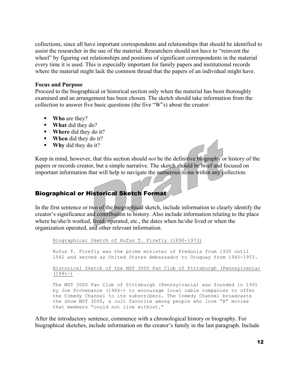collections, since all have important correspondents and relationships that should be identified to assist the researcher in the use of the material. Researchers should not have to "reinvent the wheel" by figuring out relationships and positions of significant correspondents in the material every time it is used. This is especially important for family papers and institutional records where the material might lack the common thread that the papers of an individual might have.

#### **Focus and Purpose**

Proceed to the biographical or historical section only when the material has been thoroughly examined and an arrangement has been chosen. The sketch should take information from the collection to answer five basic questions (the five "W"s) about the creator:

- **Who** are they?
- **What** did they do?
- **Where** did they do it?
- **When** did they do it?
- **Why** did they do it?

Keep in mind, however, that this section should *not* be the definitive biography or history of the papers or records creator, but a simple narrative. The sketch should be brief and focused on important information that will help to navigate the numerous items within any collection.

#### Biographical or Historical Sketch Format

In the first sentence or two of the biographical sketch, include information to clearly identify the creator's significance and contribution to history. Also include information relating to the place where he/she/it worked, lived, operated, etc., the dates when he/she lived or when the organization operated, and other relevant information.

Biographical Sketch of Rufus T. Firefly (1890-1973)

Rufus T. Firefly was the prime minister of Fredonia from 1930 until 1942 and served as United States Ambassador to Uruguay from 1945-1953.

Historical Sketch of the MST 3000 Fan Club of Pittsburgh (Pennsylvania)  $(1991-)$ 

The MST 3000 Fan Club of Pittsburgh (Pennsylvania) was founded in 1991 by Joe Provenance (1964-) to encourage local cable companies to offer the Comedy Channel to its subscribers. The Comedy Channel broadcasts the show MST 3000, a cult favorite among people who love "B" movies that members "could not live without."

After the introductory sentence, commence with a chronological history or biography. For biographical sketches, include information on the creator's family in the last paragraph. Include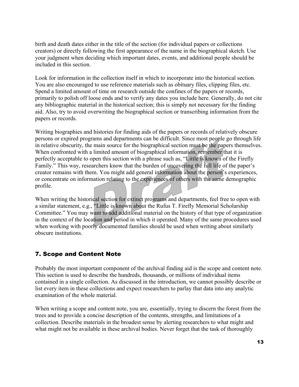birth and death dates either in the title of the section (for individual papers or collections creators) or directly following the first appearance of the name in the biographical sketch. Use your judgment when deciding which important dates, events, and additional people should be included in this section.

Look for information in the collection itself in which to incorporate into the historical section. You are also encouraged to use reference materials such as obituary files, clipping files, etc. Spend a limited amount of time on research outside the confines of the papers or records, primarily to polish off loose ends and to verify any dates you include here. Generally, do not cite any bibliographic material in the historical section; this is simply not necessary for the finding aid. Also, try to avoid overwriting the biographical section or transcribing information from the papers or records.

Writing biographies and histories for finding aids of the papers or records of relatively obscure persons or expired programs and departments can be difficult. Since most people go through life in relative obscurity, the main source for the biographical section must be the papers themselves. When confronted with a limited amount of biographical information, remember that it is perfectly acceptable to open this section with a phrase such as, "Little is known of the Firefly Family." This way, researchers know that the burden of uncovering the full life of the paper's creator remains with them. You might add general information about the person's experiences, or concentrate on information relating to the experiences of others with the same demographic profile.

When writing the historical section for extinct programs and departments, feel free to open with a similar statement, e.g., "Little is known about the Rufus T. Firefly Memorial Scholarship Committee." You may want to add additional material on the history of that type of organization in the context of the location and period in which it operated. Many of the same procedures used when working with poorly documented families should be used when writing about similarly obscure institutions.

### 7. Scope and Content Note

Probably the most important component of the archival finding aid is the scope and content note. This section is used to describe the hundreds, thousands, or millions of individual items contained in a single collection. As discussed in the introduction, we cannot possibly describe or list every item in these collections and expect researchers to parlay that data into any analytic examination of the whole material.

When writing a scope and content note, you are, essentially, trying to discern the forest from the trees and to provide a concise description of the contents, strengths, and limitations of a collection. Describe materials in the broadest sense by alerting researchers to what might and what might not be available in these archival bodies. Never forget that the task of thoroughly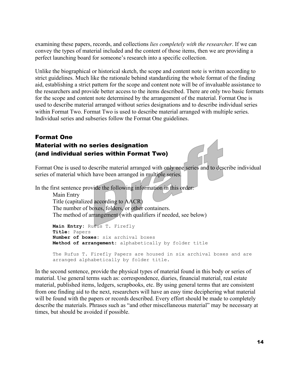examining these papers, records, and collections *lies completely with the researcher*. If we can convey the types of material included and the content of those items, then we are providing a perfect launching board for someone's research into a specific collection.

Unlike the biographical or historical sketch, the scope and content note is written according to strict guidelines. Much like the rationale behind standardizing the whole format of the finding aid, establishing a strict pattern for the scope and content note will be of invaluable assistance to the researchers and provide better access to the items described. There are only two basic formats for the scope and content note determined by the arrangement of the material. Format One is used to describe material arranged without series designations and to describe individual series within Format Two. Format Two is used to describe material arranged with multiple series. Individual series and subseries follow the Format One guidelines.

## Format One Material with no series designation (and individual series within Format Two)

Format One is used to describe material arranged with only one series and to describe individual series of material which have been arranged in multiple series.

In the first sentence provide the following information in this order:

Main Entry Title (capitalized according to AACR) The number of boxes, folders, or other containers. The method of arrangement (with qualifiers if needed, see below)

```
Main Entry: Rufus T. Firefly
Title: Papers 
Number of boxes: six archival boxes 
Method of arrangement: alphabetically by folder title 
The Rufus T. Firefly Papers are housed in six archival boxes and are 
arranged alphabetically by folder title.
```
In the second sentence, provide the physical types of material found in this body or series of material. Use general terms such as: correspondence, diaries, financial material, real estate material, published items, ledgers, scrapbooks, etc. By using general terms that are consistent from one finding aid to the next, researchers will have an easy time deciphering what material will be found with the papers or records described. Every effort should be made to completely describe the materials. Phrases such as "and other miscellaneous material" may be necessary at times, but should be avoided if possible.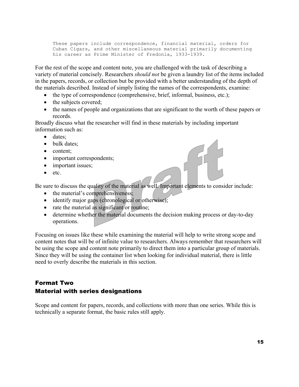These papers include correspondence, financial material, orders for Cuban Cigars, and other miscellaneous material primarily documenting his career as Prime Minister of Fredonia, 1933-1939.

For the rest of the scope and content note, you are challenged with the task of describing a variety of material concisely. Researchers *should not* be given a laundry list of the items included in the papers, records, or collection but be provided with a better understanding of the depth of the materials described. Instead of simply listing the names of the correspondents, examine:

- the type of correspondence (comprehensive, brief, informal, business, etc.);
- the subjects covered;
- the names of people and organizations that are significant to the worth of these papers or records.

Broadly discuss what the researcher will find in these materials by including important information such as:

- dates:
- bulk dates;
- content;
- important correspondents;
- important issues;
- etc.

Be sure to discuss the quality of the material as well. Important elements to consider include:

- the material's comprehensiveness;
- identify major gaps (chronological or otherwise);
- rate the material as significant/or routine;
- determine whether the material documents the decision making process or day-to-day operations.

Focusing on issues like these while examining the material will help to write strong scope and content notes that will be of infinite value to researchers. Always remember that researchers will be using the scope and content note primarily to direct them into a particular group of materials. Since they will be using the container list when looking for individual material, there is little need to overly describe the materials in this section.

## Format Two Material with series designations

Scope and content for papers, records, and collections with more than one series. While this is technically a separate format, the basic rules still apply.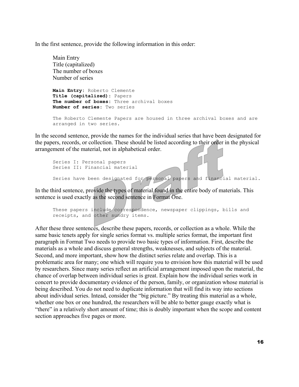In the first sentence, provide the following information in this order:

Main Entry Title (capitalized) The number of boxes Number of series **Main Entry:** Roberto Clemente **Title (capitalized):** Papers **The number of boxes:** Three archival boxes **Number of series:** Two series The Roberto Clemente Papers are housed in three archival boxes and are arranged in two series.

In the second sentence, provide the names for the individual series that have been designated for the papers, records, or collection. These should be listed according to their order in the physical arrangement of the material, not in alphabetical order.

```
Series I: Personal papers 
Series II: Financial material 
Series have been designated for personal papers and financial material.
```
In the third sentence, provide the types of material found in the entire body of materials. This sentence is used exactly as the second sentence in Format One.

```
These papers include correspondence, newspaper clippings, bills and
receipts, and other sundry items.
```
After these three sentences, describe these papers, records, or collection as a whole. While the same basic tenets apply for single series format vs. multiple series format, the important first paragraph in Format Two needs to provide two basic types of information. First, describe the materials as a whole and discuss general strengths, weaknesses, and subjects of the material. Second, and more important, show how the distinct series relate and overlap. This is a problematic area for many; one which will require you to envision how this material will be used by researchers. Since many series reflect an artificial arrangement imposed upon the material, the chance of overlap between individual series is great. Explain how the individual series work in concert to provide documentary evidence of the person, family, or organization whose material is being described. You do not need to duplicate information that will find its way into sections about individual series. Intead, consider the "big picture." By treating this material as a whole, whether one box or one hundred, the researchers will be able to better gauge exactly what is "there" in a relatively short amount of time; this is doubly important when the scope and content section approaches five pages or more.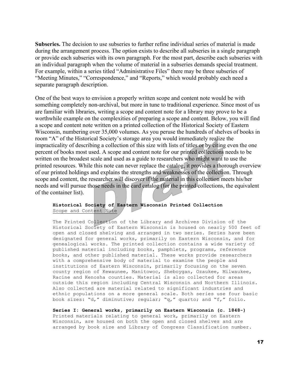**Subseries.** The decision to use subseries to further refine individual series of material is made during the arrangement process. The option exists to describe all subseries in a single paragraph or provide each subseries with its own paragraph. For the most part, describe each subseries with an individual paragraph when the volume of material in a subseries demands special treatment. For example, within a series titled "Administrative Files" there may be three subseries of "Meeting Minutes," "Correspondence," and "Reports," which would probably each need a separate paragraph description.

One of the best ways to envision a properly written scope and content note would be with something completely non-archival, but more in tune to traditional experience. Since most of us are familiar with libraries, writing a scope and content note for a library may prove to be a worthwhile example on the complexities of preparing a scope and content. Below, you will find a scope and content note written on a printed collection of the Historical Society of Eastern Wisconsin, numbering over 35,000 volumes. As you peruse the hundreds of shelves of books in room "A" of the Historical Society's storage area you would immediately realize the impracticality of describing a collection of this size with lists of titles or by citing even the one percent of books most used. A scope and content note for our printed collections needs to be written on the broadest scale and used as a guide to researchers who might want to use the printed resources. While this note can never replace the catalog, it provides a thorough overview of our printed holdings and explains the strengths and weaknesses of the collection. Through scope and content, the researcher will discover if the material in this collection meets his/her needs and will pursue those needs in the card catalog (for the printed collections, the equivalent of the container list).

#### **Historical Society of Eastern Wisconsin Printed Collection**  Scope and Content Note

The Printed Collection of the Library and Archives Division of the Historical Society of Eastern Wisconsin is housed on nearly 500 feet of open and closed shelving and arranged in two series. Series have been designated for general works, primarily on Eastern Wisconsin, and for genealogical works. The printed collection contains a wide variety of published material including books, pamphlets, programs, reference books, and other published material. These works provide researchers with a comprehensive body of material to examine the people and institutions of Eastern Wisconsin, primarily focusing on the seven county region of Kewaunee, Manitowoc, Sheboygan, Ozaukee, Milwaukee, Racine and Kenosha counties. Material is also collected for areas outside this region including Central Wisconsin and Northern Illinois. Also collected are material related to significant industries and ethnic populations on a more general scale. Both series use four basic book sizes: "d," diminutive; regular; "q," quarto; and "f," folio.

**Series I: General works, primarily on Eastern Wisconsin (c. 1848-)**  Printed materials relating to general work, primarily on Eastern Wisconsin, are housed on both the open and closed shelves and are arranged by book size and Library of Congress Classification number.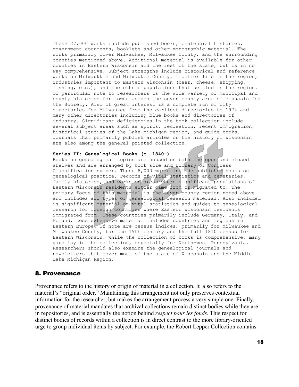These 27,000 works include published books, centennial histories, government documents, booklets and other monographic material. The works primarily cover Milwaukee, Milwaukee County, and the surrounding counties mentioned above. Additional material is available for other counties in Eastern Wisconsin and the rest of the state, but is in no way comprehensive. Subject strengths include historical and reference works on Milwaukkee and Milwaukee County, frontier life in the region, industries important to Eastern Wisconsin (beer, cheese, shipping, fishing, etc.), and the ethnic populations that settled in the region. Of particular note to researchers is the wide variety of municipal and county histories for towns across the seven county area of emphasis for the Society. Also of great interest is a complete run of city directories for Milwaukee from the earliest directories to 1974 and many other directories including blue books and directories of industry. Significant deficiencies in the book collection include several subject areas such as sports, recreation, recent immigration, historical studies of the Lake Michigan region, and guide books. Journals that primarily publish articles on the history of Wisconsin are also among the general printed collection.

#### **Series II: Genealogical Books (c. 1840-)**

Books on genealogical topics are housed on both the open and closed shelves and are arranged by book size and Library of Congress Classification number. These 8,000 works include published books on genealogical practice, records of vital statistics and cemeteries, family histories, and works on areas where significant populations of Eastern Wisconsin residents either came from or migrated to. The primary focus of this material is the seven county region noted above and includes all types of genealogical research material. Also included is significant material on vital statistics and guides to genealogical research for foreign/countries where Eastern Wisconsin residents immigrated from. These countries primarily include Germany, Italy, and Poland. Less extensive material includes countries and regions in Eastern Europe. Of note are census indices, primarily for Milwaukee and Milwaukee County, for the 19th century and the full 1810 census for Eastern Wisconsin. While the collection of books is comprehensive, many gaps lay in the collection, especially for North-west Pennsylvania. Researchers should also examine the genealogical journals and newsletters that cover most of the state of Wisconsin and the Middle Lake Michigan Region.

#### 8. Provenance

Provenance refers to the history or origin of material in a collection. It also refers to the material's "original order." Maintaining this arrangement not only preserves contextual information for the researcher, but makes the arrangement process a very simple one. Finally, provenance of material mandates that archival collections remain distinct bodies while they are in repositories, and is essentially the notion behind *respect pour les fonds*. This respect for distinct bodies of records within a collection is in direct contrast to the more library-oriented urge to group individual items by subject. For example, the Robert Lepper Collection contains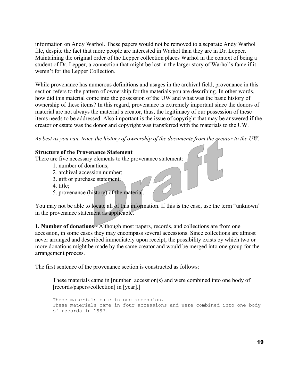information on Andy Warhol. These papers would not be removed to a separate Andy Warhol file, despite the fact that more people are interested in Warhol than they are in Dr. Lepper. Maintaining the original order of the Lepper collection places Warhol in the context of being a student of Dr. Lepper, a connection that might be lost in the larger story of Warhol's fame if it weren't for the Lepper Collection.

While provenance has numerous definitions and usages in the archival field, provenance in this section refers to the pattern of ownership for the materials you are describing. In other words, how did this material come into the possession of the UW and what was the basic history of ownership of these items? In this regard, provenance is extremely important since the donors of material are not always the material's creator, thus, the legitimacy of our possession of these items needs to be addressed. Also important is the issue of copyright that may be answered if the creator or estate was the donor and copyright was transferred with the materials to the UW.

*As best as you can, trace the history of ownership of the documents from the creator to the UW.* 

#### **Structure of the Provenance Statement**

There are five necessary elements to the provenance statement:

- 1. number of donations;
- 2. archival accession number;
- 3. gift or purchase statement;
- 4. title;
- 5. provenance (history) of the material.

You may not be able to locate all of this information. If this is the case, use the term "unknown" in the provenance statement as applicable.

**1. Number of donations - Although most papers, records, and collections are from one** accession, in some cases they may encompass several accessions. Since collections are almost never arranged and described immediately upon receipt, the possibility exists by which two or more donations might be made by the same creator and would be merged into one group for the arrangement process.

The first sentence of the provenance section is constructed as follows:

These materials came in [number] accession(s) and were combined into one body of [records/papers/collection] in [year].]

These materials came in one accession. These materials came in four accessions and were combined into one body of records in 1997.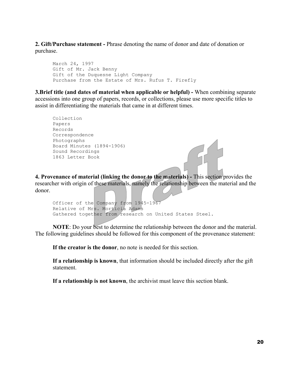**2. Gift/Purchase statement -** Phrase denoting the name of donor and date of donation or purchase.

March 24, 1997 Gift of Mr. Jack Benny Gift of the Duquesne Light Company Purchase from the Estate of Mrs. Rufus T. Firefly

**3.Brief title (and dates of material when applicable or helpful) -** When combining separate accessions into one group of papers, records, or collections, please use more specific titles to assist in differentiating the materials that came in at different times.

```
Collection 
Papers 
Records 
Correspondence 
Photographs 
Board Minutes (1894-1906) 
Sound Recordings 
1863 Letter Book
```
**4. Provenance of material (linking the donor to the materials) -** This section provides the researcher with origin of these materials, namely the relationship between the material and the donor.

```
Officer of the Company from 1945-1967 
Relative of Mrs. Morticia Adams 
Gathered together from research on United States Steel.
```
**NOTE**: Do your best to determine the relationship between the donor and the material. The following guidelines should be followed for this component of the provenance statement:

**If the creator is the donor**, no note is needed for this section.

**If a relationship is known**, that information should be included directly after the gift statement.

**If a relationship is not known**, the archivist must leave this section blank.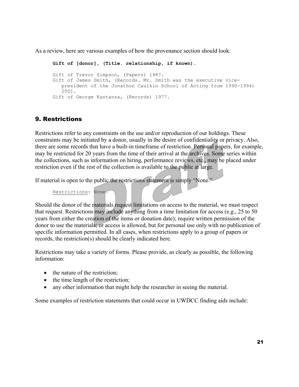As a review, here are various examples of how the provenance section should look:

**Gift of [donor], (Title. relationship, if known).**  Gift of Trevor Simpson, (Papers) 1987. Gift of James Smith, (Records. Mr. Smith was the executive vicepresident of the Jonathon Caulkin School of Acting from 1990-1994) 2001. Gift of George Kastanza, (Records) 1977.

### 9. Restrictions

Restrictions refer to any constraints on the use and/or reproduction of our holdings. These constraints may be initiated by a donor, usually in the desire of confidentiality or privacy. Also, there are some records that have a built-in timeframe of restriction. Personal papers, for example, may be restricted for 20 years from the time of their arrival at the archives. Some series within the collections, such as information on hiring, performance reviews, etc., may be placed under restriction even if the rest of the collection is available to the public at large.

If material is open to the public the restrictions statement is simply "None."

Restrictions: None.

Should the donor of the materials request limitations on access to the material, we must respect that request. Restrictions may include anything from a time limitation for access (e.g., 25 to 50 years from either the creation of the items or donation date); require written permission of the donor to use the materials; or access is allowed, but for personal use only with no publication of specific information permitted. In all cases, when restrictions apply to a group of papers or records, the restriction(s) should be clearly indicated here.

Restrictions may take a variety of forms. Please provide, as clearly as possible, the following information:

- the nature of the restriction;
- the time length of the restriction;
- any other information that might help the researcher in seeing the material.

Some examples of restriction statements that could occur in UWDCC finding aids include: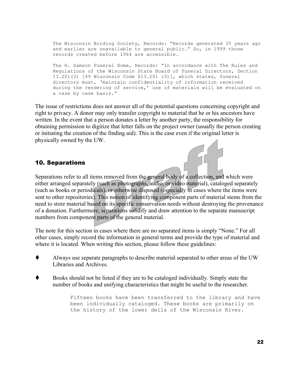The Wisconsin Birding Society, Records: "Records generated 35 years ago and earlier are unavailable to general public." So, in 1999 those records created before 1964 are accessible.

The H. Samson Funeral Home, Records: "In accordance with The Rules and Regulations of the Wisconsin State Board of Funeral Directors, Section 13.201(3) [49 Wisconsin Code \$13.201 (3)], which states, funeral directors must, 'maintain confidentiality of information received during the rendering of service,' use of materials will be evaluated on a case by case basis."

The issue of restrictions does not answer all of the potential questions concerning copyright and right to privacy. A donor may only transfer copyright to material that he or his ancestors have written. In the event that a person donates a letter by another party, the responsibility for obtaining permission to digitize that letter falls on the project owner (usually the person creating or initiating the creation of the finding aid). This is the case even if the original letter is physically owned by the UW.

#### 10. Separations

Separations refer to all items removed from the general body of a collection, and which were either arranged separately (such as photographs, audio, or video material), cataloged separately (such as books or periodicals), or otherwise disposed (especially in cases where the items were sent to other repositories). This notion of identifying component parts of material stems from the need to store material based on its specific conservation needs without destroying the provenance of a donation. Furthermore, separations solidify and draw attention to the separate manuscript numbers from component parts of the general material.

The note for this section in cases where there are no separated items is simply "None." For all other cases, simply record the information in general terms and provide the type of material and where it is located. When writing this section, please follow these guidelines:

- Always use separate paragraphs to describe material separated to other areas of the UW Libraries and Archives.
- Books should not be listed if they are to be cataloged individually. Simply state the number of books and unifying characteristics that might be useful to the researcher.

Fifteen books have been transferred to the library and have been individually cataloged. These books are primarily on the history of the lower dells of the Wisconsin River.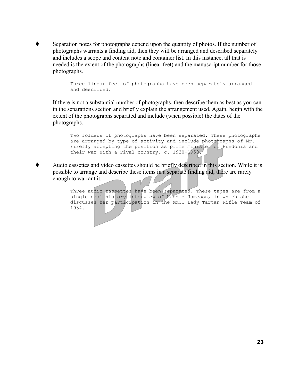Separation notes for photographs depend upon the quantity of photos. If the number of photographs warrants a finding aid, then they will be arranged and described separately and includes a scope and content note and container list. In this instance, all that is needed is the extent of the photographs (linear feet) and the manuscript number for those photographs.

> Three linear feet of photographs have been separately arranged and described.

If there is not a substantial number of photographs, then describe them as best as you can in the separations section and briefly explain the arrangement used. Again, begin with the extent of the photographs separated and include (when possible) the dates of the photographs.

```
Two folders of photographs have been separated. These photographs 
are arranged by type of activity and include photographs of Mr. 
Firefly accepting the position as prime minister of Fredonia and
their war with a rival country, c. 1930-1950.
```
 Audio cassettes and video cassettes should be briefly described in this section. While it is possible to arrange and describe these items in a separate finding aid, there are rarely enough to warrant it.

> Three audio cassettes have been separated. These tapes are from a single oral history interview of Haddie Jameson, in which she discusses her participation in the MMCC Lady Tartan Rifle Team of 1934.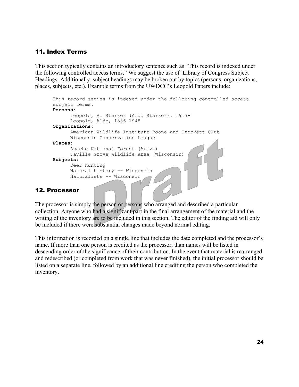#### 11. Index Terms

This section typically contains an introductory sentence such as "This record is indexed under the following controlled access terms." We suggest the use of Library of Congress Subject Headings. Additionally, subject headings may be broken out by topics (persons, organizations, places, subjects, etc.). Example terms from the UWDCC's Leopold Papers include:

```
This record series is indexed under the following controlled access 
subject terms. 
Persons: 
      Leopold, A. Starker (Aldo Starker), 1913- 
      Leopold,
 Aldo, 1886-1948 
Organizations: 
      American Wildlife Institute Boone and Crockett Club 
      W
isconsin Conservation League 
Places: 
      Apache National Forest (Ariz.) 
      Fav
ille Grove Wildlife Area (Wisconsin) 
Subjects: 
      Deer hunting 
      Natural history -- Wisconsin 
      Naturalists -- Wisconsin
```
#### 12. Processor

The processor is simply the person or persons who arranged and described a particular collection. Anyone who had a significant part in the final arrangement of the material and the writing of the inventory are to be included in this section. The editor of the finding aid will only be included if there were substantial changes made beyond normal editing.

This information is recorded on a single line that includes the date completed and the processor's name. If more than one person is credited as the processor, than names will be listed in descending order of the significance of their contribution. In the event that material is rearranged and redescribed (or completed from work that was never finished), the initial processor should be listed on a separate line, followed by an additional line crediting the person who completed the inventory.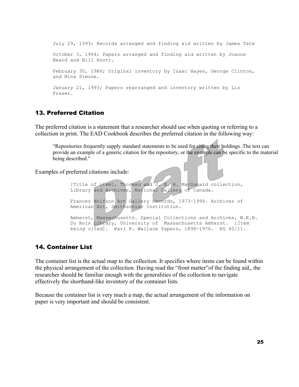July 29, 1993; Records arranged and finding aid written by James Tate October 3, 1964; Papers arranged and finding aid written by Joanne Beard and Bill Knott. February 30, 1986; Original inventory by Isaac Hayes, George Clinton, and Nina Simone. January 21, 1993; Papers rearranged and inventory written by Liz Fraser.

#### 13. Preferred Citation

The preferred citation is a statement that a researcher should use when quoting or referring to a collection in print. The EAD Cookbook describes the preferred citation in the following way:

"Repositories frequently supply standard statements to be used for citing their holdings. The text can provide an example of a generic citation for the repository, or the example can be specific to the material being described."

Examples of preferred citations include:

[Title of item], Thoreau and J. E. H. MacDonald collection, Library and Archives, National Gallery of Canada. Frances Wolfson Art Gallery Records, 1973-1994. Archives of American Art, Smithsonian Institution. Amherst, Massachusetts. Special Collections and Archives, W.E.B. Du Bois Library, University of Massachusetts Amherst. [*Item being cited*]. Karl R. Wallace Papers, 1898-1976. RG 40/11.

#### 14. Container List

The container list is the actual map to the collection. It specifies where items can be found within the physical arrangement of the collection. Having read the "front matter"of the finding aid,, the researcher should be familiar enough with the generalities of the collection to navigate effectively the shorthand-like inventory of the container lists.

Because the container list is very much a map, the actual arrangement of the information on paper is very important and should be consistent.